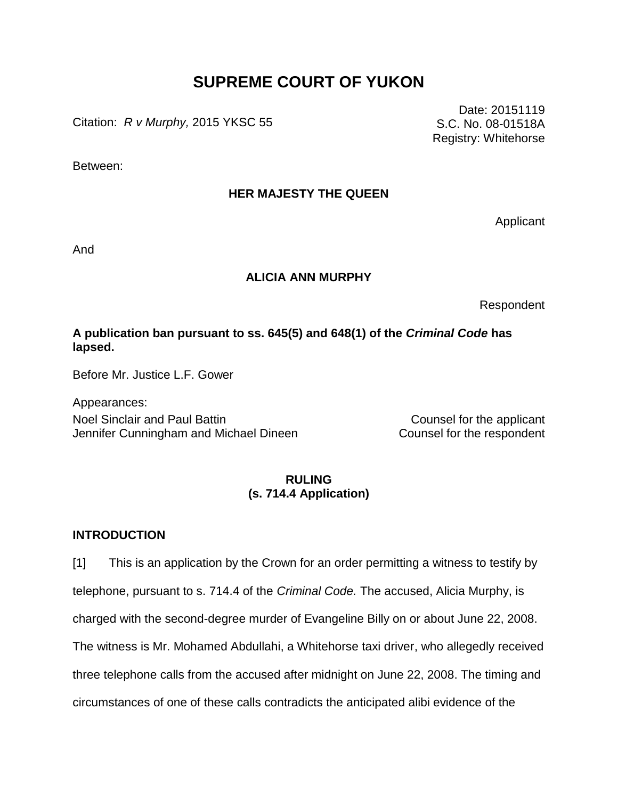# **SUPREME COURT OF YUKON**

Citation: *R v Murphy,* 2015 YKSC 55

Between:

## **HER MAJESTY THE QUEEN**

Applicant

Date: 20151119 S.C. No. 08-01518A Registry: Whitehorse

And

#### **ALICIA ANN MURPHY**

Respondent

## **A publication ban pursuant to ss. 645(5) and 648(1) of the** *Criminal Code* **has lapsed.**

Before Mr. Justice L.F. Gower

Appearances: Noel Sinclair and Paul Battin Counsel for the applicant Jennifer Cunningham and Michael Dineen Counsel for the respondent

### **RULING (s. 714.4 Application)**

#### **INTRODUCTION**

[1] This is an application by the Crown for an order permitting a witness to testify by telephone, pursuant to s. 714.4 of the *Criminal Code.* The accused, Alicia Murphy, is charged with the second-degree murder of Evangeline Billy on or about June 22, 2008. The witness is Mr. Mohamed Abdullahi, a Whitehorse taxi driver, who allegedly received three telephone calls from the accused after midnight on June 22, 2008. The timing and circumstances of one of these calls contradicts the anticipated alibi evidence of the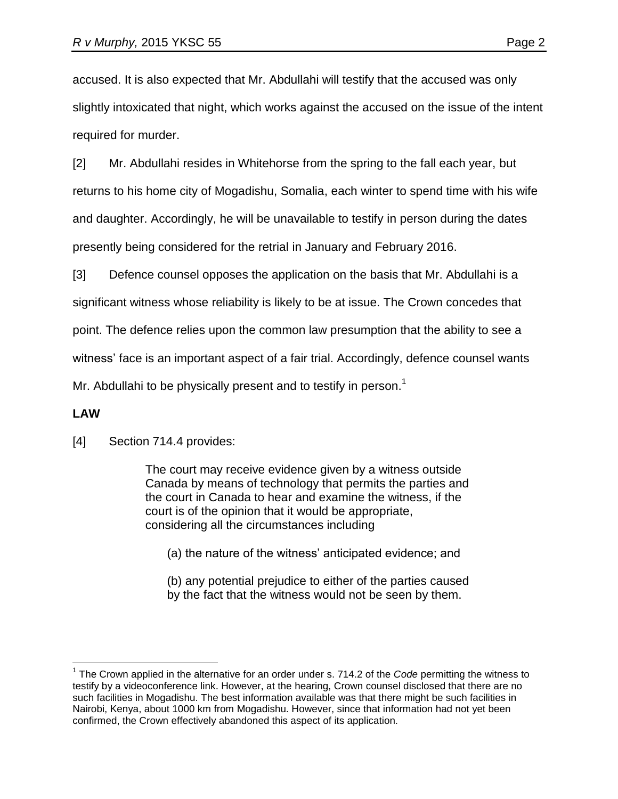accused. It is also expected that Mr. Abdullahi will testify that the accused was only slightly intoxicated that night, which works against the accused on the issue of the intent required for murder.

[2] Mr. Abdullahi resides in Whitehorse from the spring to the fall each year, but returns to his home city of Mogadishu, Somalia, each winter to spend time with his wife and daughter. Accordingly, he will be unavailable to testify in person during the dates presently being considered for the retrial in January and February 2016.

[3] Defence counsel opposes the application on the basis that Mr. Abdullahi is a significant witness whose reliability is likely to be at issue. The Crown concedes that point. The defence relies upon the common law presumption that the ability to see a witness' face is an important aspect of a fair trial. Accordingly, defence counsel wants Mr. Abdullahi to be physically present and to testify in person.<sup>1</sup>

#### **LAW**

 $\overline{a}$ 

[4] Section 714.4 provides:

The court may receive evidence given by a witness outside Canada by means of technology that permits the parties and the court in Canada to hear and examine the witness, if the court is of the opinion that it would be appropriate, considering all the circumstances including

(a) the nature of the witness' anticipated evidence; and

(b) any potential prejudice to either of the parties caused by the fact that the witness would not be seen by them.

<sup>&</sup>lt;sup>1</sup> The Crown applied in the alternative for an order under s. 714.2 of the *Code* permitting the witness to testify by a videoconference link. However, at the hearing, Crown counsel disclosed that there are no such facilities in Mogadishu. The best information available was that there might be such facilities in Nairobi, Kenya, about 1000 km from Mogadishu. However, since that information had not yet been confirmed, the Crown effectively abandoned this aspect of its application.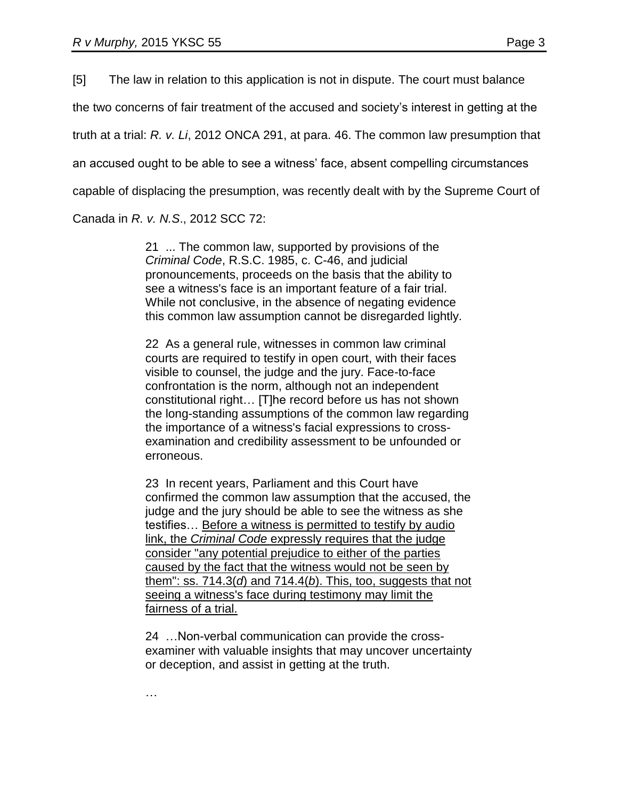[5] The law in relation to this application is not in dispute. The court must balance the two concerns of fair treatment of the accused and society's interest in getting at the truth at a trial: *R. v. Li*, 2012 ONCA 291, at para. 46. The common law presumption that an accused ought to be able to see a witness' face, absent compelling circumstances capable of displacing the presumption, was recently dealt with by the Supreme Court of

Canada in *R. v. N.S*., 2012 SCC 72:

21 ... The common law, supported by provisions of the *Criminal Code*, R.S.C. 1985, c. C-46, and judicial pronouncements, proceeds on the basis that the ability to see a witness's face is an important feature of a fair trial. While not conclusive, in the absence of negating evidence this common law assumption cannot be disregarded lightly.

22 As a general rule, witnesses in common law criminal courts are required to testify in open court, with their faces visible to counsel, the judge and the jury. Face-to-face confrontation is the norm, although not an independent constitutional right… [T]he record before us has not shown the long-standing assumptions of the common law regarding the importance of a witness's facial expressions to crossexamination and credibility assessment to be unfounded or erroneous.

23 In recent years, Parliament and this Court have confirmed the common law assumption that the accused, the judge and the jury should be able to see the witness as she testifies… Before a witness is permitted to testify by audio link, the *Criminal Code* expressly requires that the judge consider "any potential prejudice to either of the parties caused by the fact that the witness would not be seen by them": ss. 714.3(*d*) and 714.4(*b*). This, too, suggests that not seeing a witness's face during testimony may limit the fairness of a trial.

24 …Non-verbal communication can provide the crossexaminer with valuable insights that may uncover uncertainty or deception, and assist in getting at the truth.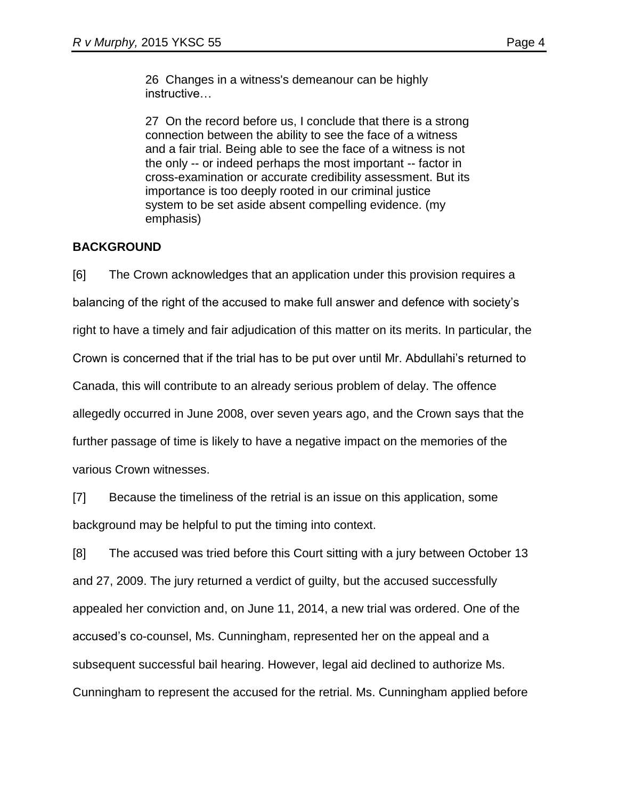26 Changes in a witness's demeanour can be highly instructive…

27 On the record before us, I conclude that there is a strong connection between the ability to see the face of a witness and a fair trial. Being able to see the face of a witness is not the only -- or indeed perhaps the most important -- factor in cross-examination or accurate credibility assessment. But its importance is too deeply rooted in our criminal justice system to be set aside absent compelling evidence. (my emphasis)

## **BACKGROUND**

[6] The Crown acknowledges that an application under this provision requires a balancing of the right of the accused to make full answer and defence with society's right to have a timely and fair adjudication of this matter on its merits. In particular, the Crown is concerned that if the trial has to be put over until Mr. Abdullahi's returned to Canada, this will contribute to an already serious problem of delay. The offence allegedly occurred in June 2008, over seven years ago, and the Crown says that the further passage of time is likely to have a negative impact on the memories of the various Crown witnesses.

[7] Because the timeliness of the retrial is an issue on this application, some background may be helpful to put the timing into context.

[8] The accused was tried before this Court sitting with a jury between October 13 and 27, 2009. The jury returned a verdict of guilty, but the accused successfully appealed her conviction and, on June 11, 2014, a new trial was ordered. One of the accused's co-counsel, Ms. Cunningham, represented her on the appeal and a subsequent successful bail hearing. However, legal aid declined to authorize Ms. Cunningham to represent the accused for the retrial. Ms. Cunningham applied before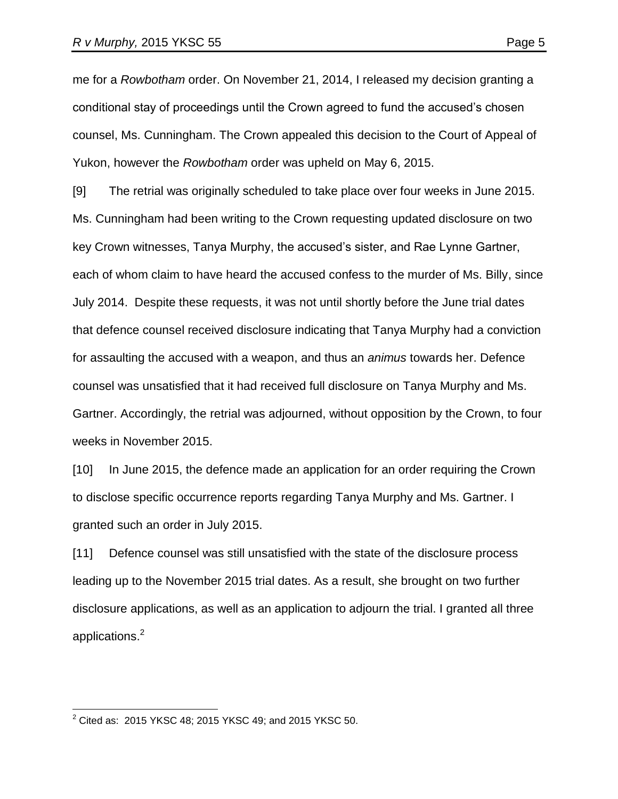me for a *Rowbotham* order. On November 21, 2014, I released my decision granting a conditional stay of proceedings until the Crown agreed to fund the accused's chosen counsel, Ms. Cunningham. The Crown appealed this decision to the Court of Appeal of Yukon, however the *Rowbotham* order was upheld on May 6, 2015.

[9] The retrial was originally scheduled to take place over four weeks in June 2015. Ms. Cunningham had been writing to the Crown requesting updated disclosure on two key Crown witnesses, Tanya Murphy, the accused's sister, and Rae Lynne Gartner, each of whom claim to have heard the accused confess to the murder of Ms. Billy, since July 2014. Despite these requests, it was not until shortly before the June trial dates that defence counsel received disclosure indicating that Tanya Murphy had a conviction for assaulting the accused with a weapon, and thus an *animus* towards her. Defence counsel was unsatisfied that it had received full disclosure on Tanya Murphy and Ms. Gartner. Accordingly, the retrial was adjourned, without opposition by the Crown, to four weeks in November 2015.

[10] In June 2015, the defence made an application for an order requiring the Crown to disclose specific occurrence reports regarding Tanya Murphy and Ms. Gartner. I granted such an order in July 2015.

[11] Defence counsel was still unsatisfied with the state of the disclosure process leading up to the November 2015 trial dates. As a result, she brought on two further disclosure applications, as well as an application to adjourn the trial. I granted all three applications. 2

 $\overline{a}$ 

 $^{2}$  Cited as: 2015 YKSC 48; 2015 YKSC 49; and 2015 YKSC 50.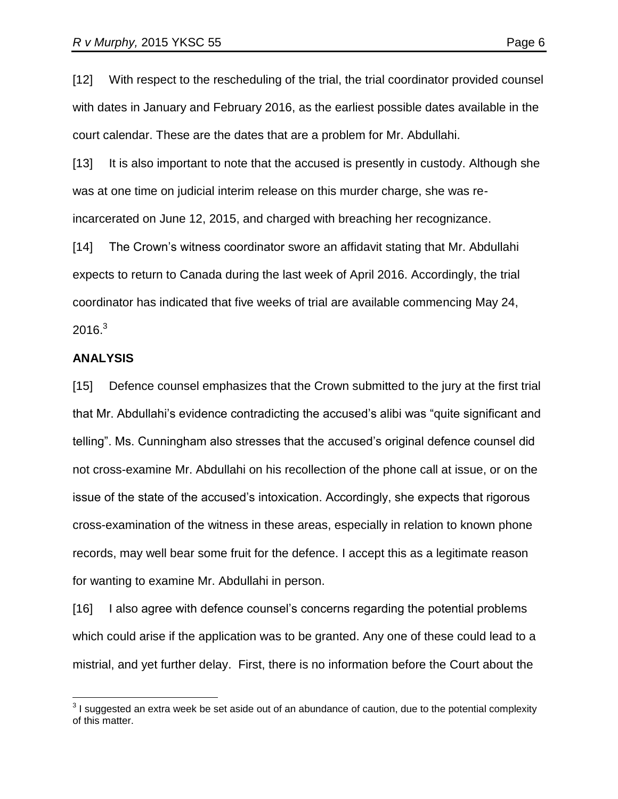[12] With respect to the rescheduling of the trial, the trial coordinator provided counsel with dates in January and February 2016, as the earliest possible dates available in the court calendar. These are the dates that are a problem for Mr. Abdullahi.

[13] It is also important to note that the accused is presently in custody. Although she was at one time on judicial interim release on this murder charge, she was reincarcerated on June 12, 2015, and charged with breaching her recognizance.

[14] The Crown's witness coordinator swore an affidavit stating that Mr. Abdullahi expects to return to Canada during the last week of April 2016. Accordingly, the trial coordinator has indicated that five weeks of trial are available commencing May 24,  $2016.<sup>3</sup>$ 

#### **ANALYSIS**

[15] Defence counsel emphasizes that the Crown submitted to the jury at the first trial that Mr. Abdullahi's evidence contradicting the accused's alibi was "quite significant and telling". Ms. Cunningham also stresses that the accused's original defence counsel did not cross-examine Mr. Abdullahi on his recollection of the phone call at issue, or on the issue of the state of the accused's intoxication. Accordingly, she expects that rigorous cross-examination of the witness in these areas, especially in relation to known phone records, may well bear some fruit for the defence. I accept this as a legitimate reason for wanting to examine Mr. Abdullahi in person.

[16] I also agree with defence counsel's concerns regarding the potential problems which could arise if the application was to be granted. Any one of these could lead to a mistrial, and yet further delay. First, there is no information before the Court about the

 3 I suggested an extra week be set aside out of an abundance of caution, due to the potential complexity of this matter.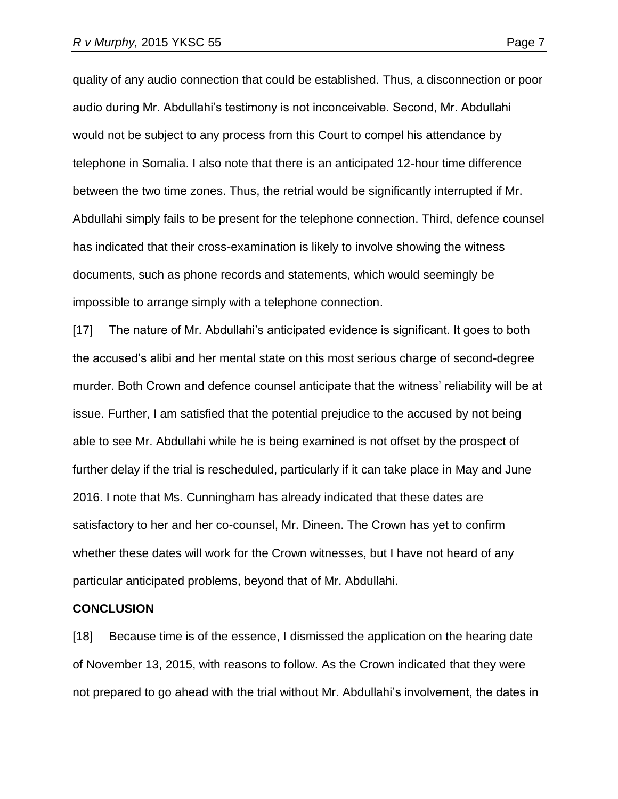quality of any audio connection that could be established. Thus, a disconnection or poor audio during Mr. Abdullahi's testimony is not inconceivable. Second, Mr. Abdullahi would not be subject to any process from this Court to compel his attendance by telephone in Somalia. I also note that there is an anticipated 12-hour time difference between the two time zones. Thus, the retrial would be significantly interrupted if Mr. Abdullahi simply fails to be present for the telephone connection. Third, defence counsel has indicated that their cross-examination is likely to involve showing the witness documents, such as phone records and statements, which would seemingly be impossible to arrange simply with a telephone connection.

[17] The nature of Mr. Abdullahi's anticipated evidence is significant. It goes to both the accused's alibi and her mental state on this most serious charge of second-degree murder. Both Crown and defence counsel anticipate that the witness' reliability will be at issue. Further, I am satisfied that the potential prejudice to the accused by not being able to see Mr. Abdullahi while he is being examined is not offset by the prospect of further delay if the trial is rescheduled, particularly if it can take place in May and June 2016. I note that Ms. Cunningham has already indicated that these dates are satisfactory to her and her co-counsel, Mr. Dineen. The Crown has yet to confirm whether these dates will work for the Crown witnesses, but I have not heard of any particular anticipated problems, beyond that of Mr. Abdullahi.

#### **CONCLUSION**

[18] Because time is of the essence, I dismissed the application on the hearing date of November 13, 2015, with reasons to follow. As the Crown indicated that they were not prepared to go ahead with the trial without Mr. Abdullahi's involvement, the dates in